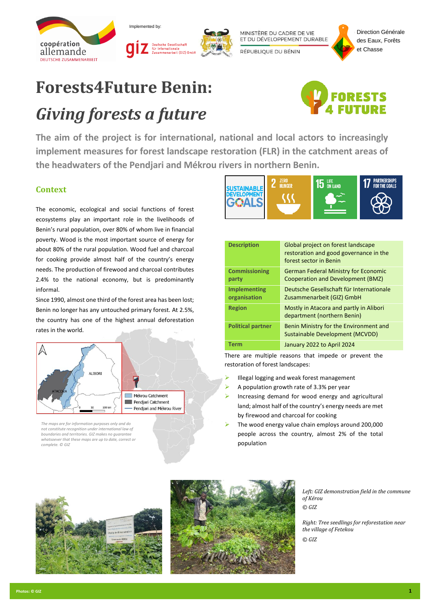



MINISTÈRE DU CADRE DE VIE ET DU DÉVELOPPEMENT DURABLE

RÉPUBLIQUE DU BÉNIN



## **Forests4Future Benin:** *Giving forests a future*



**The aim of the project is for international, national and local actors to increasingly implement measures for forest landscape restoration (FLR) in the catchment areas of the headwaters of the Pendjari and Mékrou rivers in northern Benin.**

## **Context**

The economic, ecological and social functions of forest ecosystems play an important role in the livelihoods of Benin's rural population, over 80% of whom live in financial poverty. Wood is the most important source of energy for about 80% of the rural population. Wood fuel and charcoal for cooking provide almost half of the country's energy needs. The production of firewood and charcoal contributes 2.4% to the national economy, but is predominantly informal.

Since 1990, almost one third of the forest area has been lost; Benin no longer has any untouched primary forest. At 2.5%, the country has one of the highest annual deforestation rates in the world.



*The maps are for information purposes only and do not constitute recognition under international law of boundaries and territories. GIZ makes no guarant whatsoever that these maps are up to date, correct or complete. © GIZ*



| <b>Description</b>                  | Global project on forest landscape<br>restoration and good governance in the<br>forest sector in Benin |
|-------------------------------------|--------------------------------------------------------------------------------------------------------|
| <b>Commissioning</b><br>party       | <b>German Federal Ministry for Economic</b><br>Cooperation and Development (BMZ)                       |
| <b>Implementing</b><br>organisation | Deutsche Gesellschaft für Internationale<br>Zusammenarbeit (GIZ) GmbH                                  |
| <b>Region</b>                       | Mostly in Atacora and partly in Alibori<br>department (northern Benin)                                 |
| <b>Political partner</b>            | Benin Ministry for the Environment and<br>Sustainable Development (MCVDD)                              |
| Term                                | January 2022 to April 2024                                                                             |

There are multiple reasons that impede or prevent the restoration of forest landscapes:

- ➢ Illegal logging and weak forest management
- ➢ A population growth rate of 3.3% per year
- ➢ Increasing demand for wood energy and agricultural land; almost half of the country's energy needs are met by firewood and charcoal for cooking
- ➢ The wood energy value chain employs around 200,000 people across the country, almost 2% of the total population





*Left: GIZ demonstration field in the commune of Kérou © GIZ* 

*Right: Tree seedlings for reforestation near the village of Fetekou © GIZ*